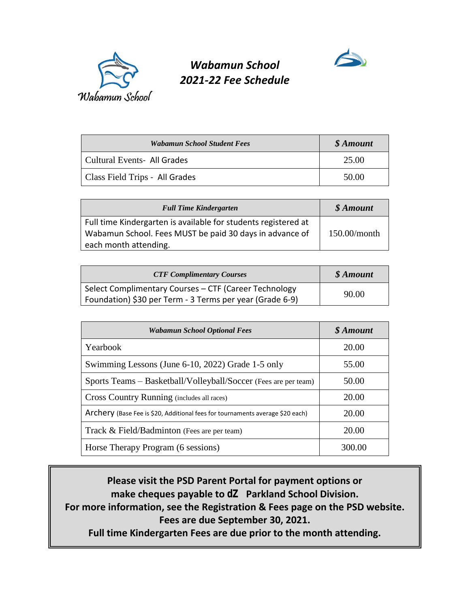

## *Wabamun School 2021-22 Fee Schedule*

| <b>Wabamun School Student Fees</b> | \$ Amount |
|------------------------------------|-----------|
| Cultural Events- All Grades        | 25.00     |
| Class Field Trips - All Grades     | 50.00     |

| <b>Full Time Kindergarten</b>                                  | \$ Amount    |
|----------------------------------------------------------------|--------------|
| Full time Kindergarten is available for students registered at |              |
| Wabamun School. Fees MUST be paid 30 days in advance of        | 150.00/month |
| each month attending.                                          |              |

| <b>CTF Complimentary Courses</b>                         | \$ Amount |
|----------------------------------------------------------|-----------|
| Select Complimentary Courses - CTF (Career Technology    | 90.00     |
| Foundation) \$30 per Term - 3 Terms per year (Grade 6-9) |           |

| <b>Wabamun School Optional Fees</b>                                           | \$ Amount |  |
|-------------------------------------------------------------------------------|-----------|--|
| Yearbook                                                                      | 20.00     |  |
| Swimming Lessons (June 6-10, 2022) Grade 1-5 only                             | 55.00     |  |
| Sports Teams – Basketball/Volleyball/Soccer (Fees are per team)               | 50.00     |  |
| Cross Country Running (includes all races)                                    | 20.00     |  |
| Archery (Base Fee is \$20, Additional fees for tournaments average \$20 each) | 20.00     |  |
| Track & Field/Badminton (Fees are per team)                                   | 20.00     |  |
| Horse Therapy Program (6 sessions)                                            | 300.00    |  |

**Please visit the PSD Parent Portal for payment options or make cheques payable to dZ Parkland School Division. For more information, see the Registration & Fees page on the PSD website. Fees are due September 30, 2021. Full time Kindergarten Fees are due prior to the month attending.**